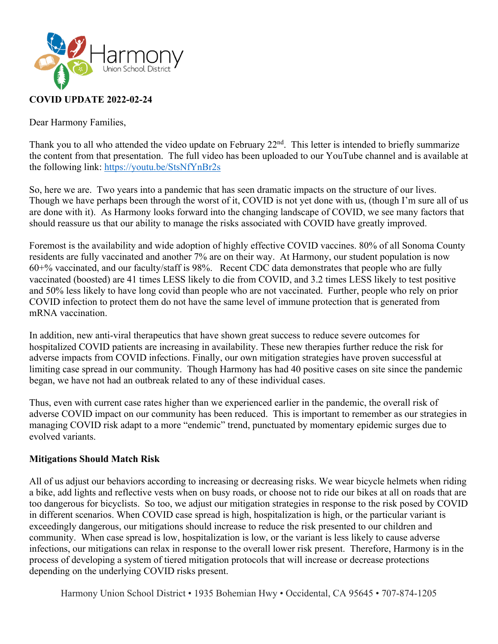

## **COVID UPDATE 2022-02-24**

Dear Harmony Families,

Thank you to all who attended the video update on February 22<sup>nd</sup>. This letter is intended to briefly summarize the content from that presentation. The full video has been uploaded to our YouTube channel and is available at the following link: https://youtu.be/StsNfYnBr2s

So, here we are. Two years into a pandemic that has seen dramatic impacts on the structure of our lives. Though we have perhaps been through the worst of it, COVID is not yet done with us, (though I'm sure all of us are done with it). As Harmony looks forward into the changing landscape of COVID, we see many factors that should reassure us that our ability to manage the risks associated with COVID have greatly improved.

Foremost is the availability and wide adoption of highly effective COVID vaccines. 80% of all Sonoma County residents are fully vaccinated and another 7% are on their way. At Harmony, our student population is now 60+% vaccinated, and our faculty/staff is 98%. Recent CDC data demonstrates that people who are fully vaccinated (boosted) are 41 times LESS likely to die from COVID, and 3.2 times LESS likely to test positive and 50% less likely to have long covid than people who are not vaccinated. Further, people who rely on prior COVID infection to protect them do not have the same level of immune protection that is generated from mRNA vaccination.

In addition, new anti-viral therapeutics that have shown great success to reduce severe outcomes for hospitalized COVID patients are increasing in availability. These new therapies further reduce the risk for adverse impacts from COVID infections. Finally, our own mitigation strategies have proven successful at limiting case spread in our community. Though Harmony has had 40 positive cases on site since the pandemic began, we have not had an outbreak related to any of these individual cases.

Thus, even with current case rates higher than we experienced earlier in the pandemic, the overall risk of adverse COVID impact on our community has been reduced. This is important to remember as our strategies in managing COVID risk adapt to a more "endemic" trend, punctuated by momentary epidemic surges due to evolved variants.

## **Mitigations Should Match Risk**

All of us adjust our behaviors according to increasing or decreasing risks. We wear bicycle helmets when riding a bike, add lights and reflective vests when on busy roads, or choose not to ride our bikes at all on roads that are too dangerous for bicyclists. So too, we adjust our mitigation strategies in response to the risk posed by COVID in different scenarios. When COVID case spread is high, hospitalization is high, or the particular variant is exceedingly dangerous, our mitigations should increase to reduce the risk presented to our children and community. When case spread is low, hospitalization is low, or the variant is less likely to cause adverse infections, our mitigations can relax in response to the overall lower risk present. Therefore, Harmony is in the process of developing a system of tiered mitigation protocols that will increase or decrease protections depending on the underlying COVID risks present.

Harmony Union School District • 1935 Bohemian Hwy • Occidental, CA 95645 • 707-874-1205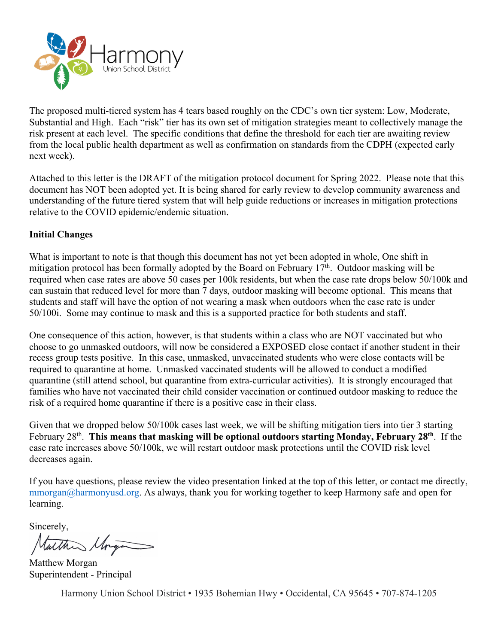

The proposed multi-tiered system has 4 tears based roughly on the CDC's own tier system: Low, Moderate, Substantial and High. Each "risk" tier has its own set of mitigation strategies meant to collectively manage the risk present at each level. The specific conditions that define the threshold for each tier are awaiting review from the local public health department as well as confirmation on standards from the CDPH (expected early next week).

Attached to this letter is the DRAFT of the mitigation protocol document for Spring 2022. Please note that this document has NOT been adopted yet. It is being shared for early review to develop community awareness and understanding of the future tiered system that will help guide reductions or increases in mitigation protections relative to the COVID epidemic/endemic situation.

## **Initial Changes**

What is important to note is that though this document has not yet been adopted in whole, One shift in mitigation protocol has been formally adopted by the Board on February  $17<sup>th</sup>$ . Outdoor masking will be required when case rates are above 50 cases per 100k residents, but when the case rate drops below 50/100k and can sustain that reduced level for more than 7 days, outdoor masking will become optional. This means that students and staff will have the option of not wearing a mask when outdoors when the case rate is under 50/100i. Some may continue to mask and this is a supported practice for both students and staff.

One consequence of this action, however, is that students within a class who are NOT vaccinated but who choose to go unmasked outdoors, will now be considered a EXPOSED close contact if another student in their recess group tests positive. In this case, unmasked, unvaccinated students who were close contacts will be required to quarantine at home. Unmasked vaccinated students will be allowed to conduct a modified quarantine (still attend school, but quarantine from extra-curricular activities). It is strongly encouraged that families who have not vaccinated their child consider vaccination or continued outdoor masking to reduce the risk of a required home quarantine if there is a positive case in their class.

Given that we dropped below 50/100k cases last week, we will be shifting mitigation tiers into tier 3 starting February 28th. **This means that masking will be optional outdoors starting Monday, February 28th**. If the case rate increases above 50/100k, we will restart outdoor mask protections until the COVID risk level decreases again.

If you have questions, please review the video presentation linked at the top of this letter, or contact me directly, mmorgan@harmonyusd.org. As always, thank you for working together to keep Harmony safe and open for learning.

Sincerely,

Valta Morg

Matthew Morgan Superintendent - Principal

Harmony Union School District • 1935 Bohemian Hwy • Occidental, CA 95645 • 707-874-1205